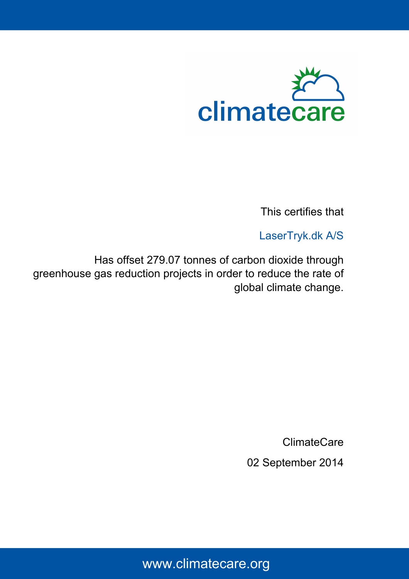

This certifies that

LaserTryk.dk A/S

Has offset 279.07 tonnes of carbon dioxide through greenhouse gas reduction projects in order to reduce the rate of global climate change.

ClimateCare

02 September 2014

# www.climatecare.org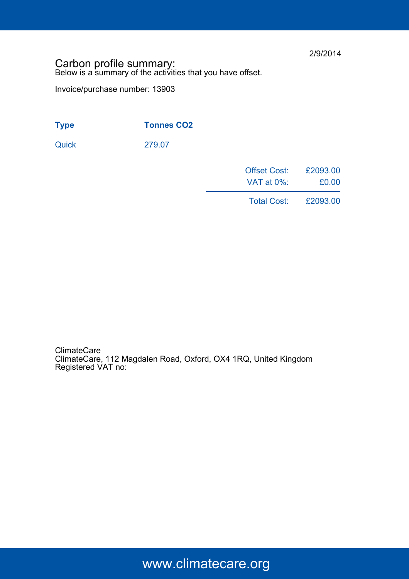2/9/2014

### Carbon profile summary: Below is a summary of the activities that you have offset.

Invoice/purchase number: 13903

| <b>Tonnes CO2</b><br><b>Type</b> |  |
|----------------------------------|--|
|----------------------------------|--|

Quick 279.07

| <b>Offset Cost:</b> | £2093.00 |
|---------------------|----------|
| VAT at 0%:          | £0.00    |
|                     |          |

Total Cost: £2093.00

ClimateCare ClimateCare, 112 Magdalen Road, Oxford, OX4 1RQ, United Kingdom Registered VAT no:

www.climatecare.org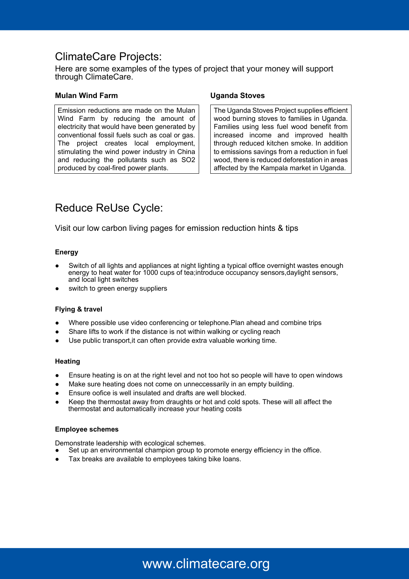### ClimateCare Projects:

Here are some examples of the types of project that your money will support through ClimateCare.

#### **Mulan Wind Farm Uganda Stoves**

Emission reductions are made on the Mulan Wind Farm by reducing the amount of electricity that would have been generated by conventional fossil fuels such as coal or gas. The project creates local employment, stimulating the wind power industry in China and reducing the pollutants such as SO2 produced by coal-fired power plants.

The Uganda Stoves Project supplies efficient wood burning stoves to families in Uganda. Families using less fuel wood benefit from increased income and improved health through reduced kitchen smoke. In addition to emissions savings from a reduction in fuel wood, there is reduced deforestation in areas affected by the Kampala market in Uganda.

## Reduce ReUse Cycle:

Visit our low carbon living pages for emission reduction hints & tips

#### **Energy**

- Switch of all lights and appliances at night lighting a typical office overnight wastes enough energy to heat water for 1000 cups of tea;introduce occupancy sensors, daylight sensors, and local light switches
- switch to green energy suppliers

#### **Flying & travel**

- Where possible use video conferencing or telephone. Plan ahead and combine trips
- Share lifts to work if the distance is not within walking or cycling reach
- Use public transport, it can often provide extra valuable working time.

#### **Heating**

- Ensure heating is on at the right level and not too hot so people will have to open windows
- Make sure heating does not come on unneccessarily in an empty building.
- Ensure oofice is well insulated and drafts are well blocked.
- Keep the thermostat away from draughts or hot and cold spots. These will all affect the thermostat and automatically increase your heating costs

#### **Employee schemes**

Demonstrate leadership with ecological schemes.

- Set up an environmental champion group to promote energy efficiency in the office.
- Tax breaks are available to employees taking bike loans.

# www.climatecare.org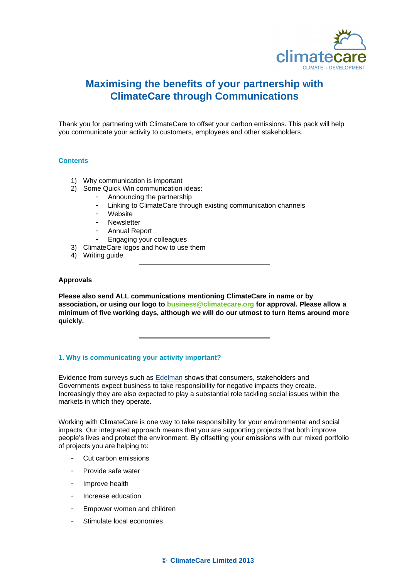

### **Maximising the benefits of your partnership with ClimateCare through Communications**

Thank you for partnering with ClimateCare to offset your carbon emissions. This pack will help you communicate your activity to customers, employees and other stakeholders.

#### **Contents**

- 1) Why communication is important
- 2) Some Quick Win communication ideas:
	- Announcing the partnership
	- Linking to ClimateCare through existing communication channels
	- Website
	- **Newsletter**
	- Annual Report
	- Engaging your colleagues
- 3) ClimateCare logos and how to use them
- 4) Writing guide

#### **Approvals**

**Please also send ALL communications mentioning ClimateCare in name or by association, or using our logo to [business@climatecare.org](mailto:business@climatecare.org) for approval. Please allow a minimum of five working days, although we will do our utmost to turn items around more quickly.**

#### **1. Why is communicating your activity important?**

Evidence from surveys such as **[Edelman](http://fightpoverty.visibli.com/a87fba24826ec081/?web=b563ed&dst=http%3A//www.scribd.com/doc/90411623/Executive-Summary-2012-Edelman-goodpurpose%25C2%25AE-Study)** shows that consumers, stakeholders and Governments expect business to take responsibility for negative impacts they create. Increasingly they are also expected to play a substantial role tackling social issues within the markets in which they operate.

Working with ClimateCare is one way to take responsibility for your environmental and social impacts. Our integrated approach means that you are supporting projects that both improve people's lives and protect the environment. By offsetting your emissions with our mixed portfolio of projects you are helping to:

- Cut carbon emissions
- Provide safe water
- Improve health
- Increase education
- Empower women and children
- Stimulate local economies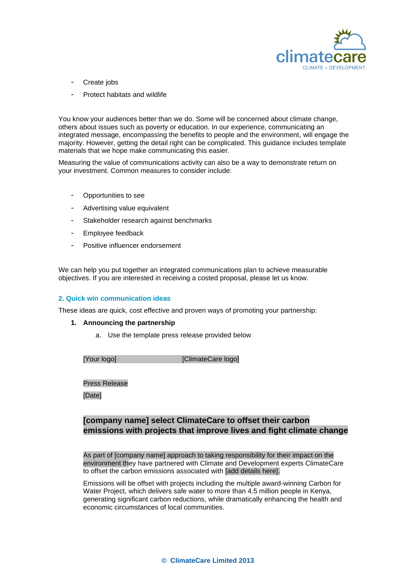

- Create jobs
- Protect habitats and wildlife

You know your audiences better than we do. Some will be concerned about climate change, others about issues such as poverty or education. In our experience, communicating an integrated message, encompassing the benefits to people and the environment, will engage the majority. However, getting the detail right can be complicated. This guidance includes template materials that we hope make communicating this easier.

Measuring the value of communications activity can also be a way to demonstrate return on your investment. Common measures to consider include:

- Opportunities to see
- Advertising value equivalent
- Stakeholder research against benchmarks
- Employee feedback
- Positive influencer endorsement

We can help you put together an integrated communications plan to achieve measurable objectives. If you are interested in receiving a costed proposal, please let us know.

#### **2. Quick win communication ideas**

These ideas are quick, cost effective and proven ways of promoting your partnership:

#### **1. Announcing the partnership**

a. Use the template press release provided below

| [Your logo] | [ClimateCare logo] |
|-------------|--------------------|
|             |                    |

Press Release

[Date]

### **[company name] select ClimateCare to offset their carbon emissions with projects that improve lives and fight climate change**

As part of [company name] approach to taking responsibility for their impact on the environment they have partnered with Climate and Development experts ClimateCare to offset the carbon emissions associated with [add details here].

Emissions will be offset with projects including the multiple award-winning Carbon for Water Project, which delivers safe water to more than 4.5 million people in Kenya, generating significant carbon reductions, while dramatically enhancing the health and economic circumstances of local communities.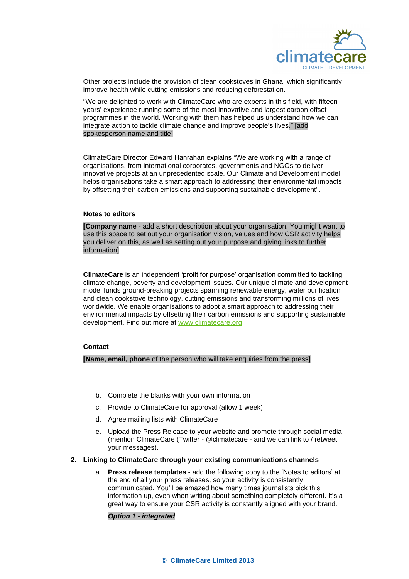

Other projects include the provision of clean cookstoves in Ghana, which significantly improve health while cutting emissions and reducing deforestation.

"We are delighted to work with ClimateCare who are experts in this field, with fifteen years' experience running some of the most innovative and largest carbon offset programmes in the world. Working with them has helped us understand how we can integrate action to tackle climate change and improve people's lives." [add spokesperson name and title]

ClimateCare Director Edward Hanrahan explains "We are working with a range of organisations, from international corporates, governments and NGOs to deliver innovative projects at an unprecedented scale. Our Climate and Development model helps organisations take a smart approach to addressing their environmental impacts by offsetting their carbon emissions and supporting sustainable development".

#### **Notes to editors**

**[Company name** - add a short description about your organisation. You might want to use this space to set out your organisation vision, values and how CSR activity helps you deliver on this, as well as setting out your purpose and giving links to further information]

**ClimateCare** is an independent 'profit for purpose' organisation committed to tackling climate change, poverty and development issues. Our unique climate and development model funds ground-breaking projects spanning renewable energy, water purification and clean cookstove technology, cutting emissions and transforming millions of lives worldwide. We enable organisations to adopt a smart approach to addressing their environmental impacts by offsetting their carbon emissions and supporting sustainable development. Find out more at [www.climatecare.org](http://www.climatecare.org/)

#### **Contact**

**[Name, email, phone** of the person who will take enquiries from the press]

- b. Complete the blanks with your own information
- c. Provide to ClimateCare for approval (allow 1 week)
- d. Agree mailing lists with ClimateCare
- e. Upload the Press Release to your website and promote through social media (mention ClimateCare (Twitter - @climatecare - and we can link to / retweet your messages).
- **2. Linking to ClimateCare through your existing communications channels**
	- a. **Press release templates** add the following copy to the 'Notes to editors' at the end of all your press releases, so your activity is consistently communicated. You'll be amazed how many times journalists pick this information up, even when writing about something completely different. It's a great way to ensure your CSR activity is constantly aligned with your brand.

#### *Option 1 - integrated*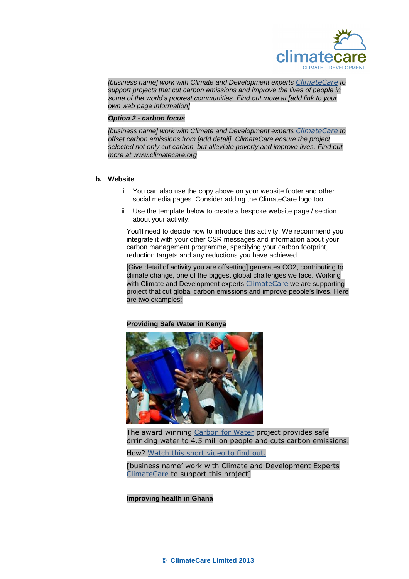

*[business name] work with Climate and Development experts [ClimateCare](http://www.climatecare.org/) to support projects that cut carbon emissions and improve the lives of people in some of the world's poorest communities. Find out more at [add link to your own web page information]*

#### *Option 2 - carbon focus*

*[business name] work with Climate and Development experts [ClimateCare](http://www.climatecare.org/) to offset carbon emissions from [add detail]. ClimateCare ensure the project selected not only cut carbon, but alleviate poverty and improve lives. Find out more at www.climatecare.org* 

#### **b. Website**

- i. You can also use the copy above on your website footer and other social media pages. Consider adding the ClimateCare logo too.
- ii. Use the template below to create a bespoke website page / section about your activity:

You'll need to decide how to introduce this activity. We recommend you integrate it with your other CSR messages and information about your carbon management programme, specifying your carbon footprint, reduction targets and any reductions you have achieved.

[Give detail of activity you are offsetting] generates CO2, contributing to climate change, one of the biggest global challenges we face. Working with Climate and Development experts [ClimateCare](http://www.climatecare.org/) we are supporting project that cut global carbon emissions and improve people's lives. Here are two examples:

#### **Providing Safe Water in Kenya**



The award winning [Carbon for Water](http://www.carbonforwater.com/) project provides safe drrinking water to 4.5 million people and cuts carbon emissions.

How? [Watch this short video to find out.](http://www.youtube.com/watch?v=DS-nwmZ9sT8)

[business name' work with Climate and Development Experts [ClimateCare](http://www.climatecare.org/) to support this project]

#### **Improving health in Ghana**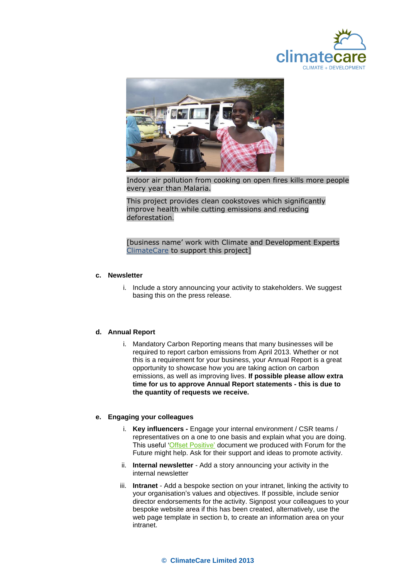



Indoor air pollution from cooking on open fires kills more people every year than Malaria.

This project provides clean cookstoves which significantly improve health while cutting emissions and reducing deforestation.

#### [business name' work with Climate and Development Experts [ClimateCare](http://www.climatecare.org/) to support this project]

#### **c. Newsletter**

i. Include a story announcing your activity to stakeholders. We suggest basing this on the press release.

#### **d. Annual Report**

i. Mandatory Carbon Reporting means that many businesses will be required to report carbon emissions from April 2013. Whether or not this is a requirement for your business, your Annual Report is a great opportunity to showcase how you are taking action on carbon emissions, as well as improving lives. **If possible please allow extra time for us to approve Annual Report statements - this is due to the quantity of requests we receive.** 

#### **e. Engaging your colleagues**

- i. **Key influencers -** Engage your internal environment / CSR teams / representatives on a one to one basis and explain what you are doing. This useful ['Offset Positive'](http://www.forumforthefuture.org/greenfutures/shop/special-edition/offset-positive) document we produced with Forum for the Future might help. Ask for their support and ideas to promote activity.
- ii. **Internal newsletter** Add a story announcing your activity in the internal newsletter
- iii. **Intranet** Add a bespoke section on your intranet, linking the activity to your organisation's values and objectives. If possible, include senior director endorsements for the activity. Signpost your colleagues to your bespoke website area if this has been created, alternatively, use the web page template in section b, to create an information area on your intranet.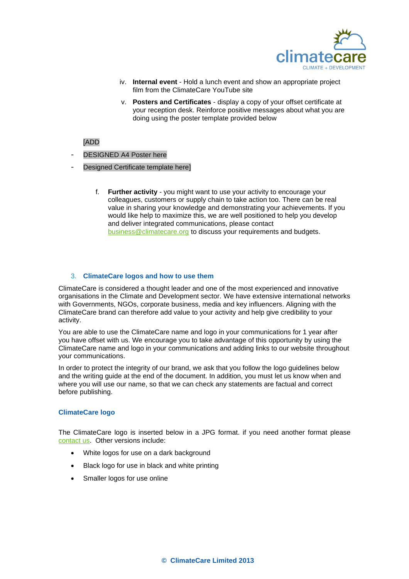

- iv. **Internal event** Hold a lunch event and show an appropriate project film from the ClimateCare YouTube site
- v. **Posters and Certificates** display a copy of your offset certificate at your reception desk. Reinforce positive messages about what you are doing using the poster template provided below

#### [ADD

- DESIGNED A4 Poster here
- Designed Certificate template here]
	- f. **Further activity**  you might want to use your activity to encourage your colleagues, customers or supply chain to take action too. There can be real value in sharing your knowledge and demonstrating your achievements. If you would like help to maximize this, we are well positioned to help you develop and deliver integrated communications, please contact [business@climatecare.org](mailto:business@climatecare.org) to discuss your requirements and budgets.

#### 3. **ClimateCare logos and how to use them**

ClimateCare is considered a thought leader and one of the most experienced and innovative organisations in the Climate and Development sector. We have extensive international networks with Governments, NGOs, corporate business, media and key influencers. Aligning with the ClimateCare brand can therefore add value to your activity and help give credibility to your activity.

You are able to use the ClimateCare name and logo in your communications for 1 year after you have offset with us. We encourage you to take advantage of this opportunity by using the ClimateCare name and logo in your communications and adding links to our website throughout your communications.

In order to protect the integrity of our brand, we ask that you follow the logo guidelines below and the writing guide at the end of the document. In addition, you must let us know when and where you will use our name, so that we can check any statements are factual and correct before publishing.

#### **ClimateCare logo**

The ClimateCare logo is inserted below in a JPG format. if you need another format please [contact us.](mailto:business@climatecare.org) Other versions include:

- White logos for use on a dark background
- Black logo for use in black and white printing
- Smaller logos for use online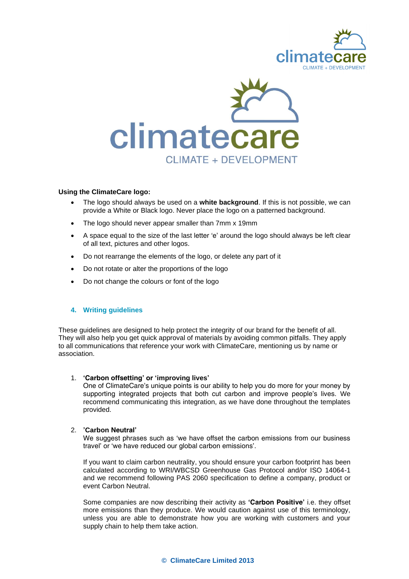



#### **Using the ClimateCare logo:**

- The logo should always be used on a **white background**. If this is not possible, we can provide a White or Black logo. Never place the logo on a patterned background.
- The logo should never appear smaller than 7mm x 19mm
- A space equal to the size of the last letter 'e' around the logo should always be left clear of all text, pictures and other logos.
- Do not rearrange the elements of the logo, or delete any part of it
- Do not rotate or alter the proportions of the logo
- Do not change the colours or font of the logo

#### **4. Writing guidelines**

These guidelines are designed to help protect the integrity of our brand for the benefit of all. They will also help you get quick approval of materials by avoiding common pitfalls. They apply to all communications that reference your work with ClimateCare, mentioning us by name or association.

#### 1. **'Carbon offsetting' or 'improving lives'**

One of ClimateCare's unique points is our ability to help you do more for your money by supporting integrated projects that both cut carbon and improve people's lives. We recommend communicating this integration, as we have done throughout the templates provided.

#### 2. **'Carbon Neutral'**

We suggest phrases such as 'we have offset the carbon emissions from our business travel' or 'we have reduced our global carbon emissions'.

If you want to claim carbon neutrality, you should ensure your carbon footprint has been calculated according to WRI/WBCSD Greenhouse Gas Protocol and/or ISO 14064-1 and we recommend following PAS 2060 specification to define a company, product or event Carbon Neutral.

Some companies are now describing their activity as **'Carbon Positive'** i.e. they offset more emissions than they produce. We would caution against use of this terminology, unless you are able to demonstrate how you are working with customers and your supply chain to help them take action.

#### **© ClimateCare Limited 2013**